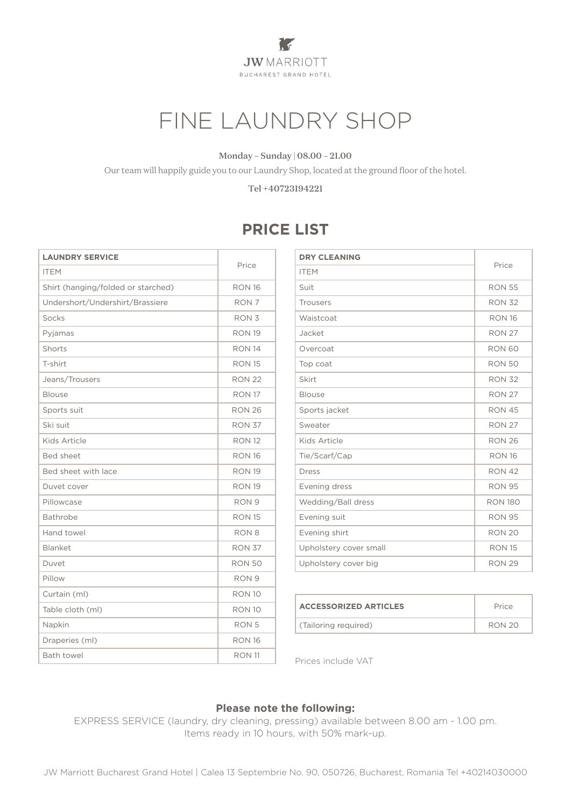**The Second Second JW**MARRIOTT **BUCHAREST GRAND HOTEL** 

# FINE LAUNDRY SHOP

#### Monday – Sunday | 08.00 – 21.00

Our team will happily guide you to our Laundry Shop, located at the ground floor of the hotel.

Tel +40723194221

## **PRICE LIST**

| <b>LAUNDRY SERVICE</b>             |                  |
|------------------------------------|------------------|
| <b>ITEM</b>                        | Price            |
| Shirt (hanging/folded or starched) | <b>RON 16</b>    |
| Undershort/Undershirt/Brassiere    | RON <sub>7</sub> |
| Socks                              | RON <sub>3</sub> |
| Pyjamas                            | <b>RON 19</b>    |
| Shorts                             | <b>RON 14</b>    |
| T-shirt                            | <b>RON 15</b>    |
| Jeans/Trousers                     | <b>RON 22</b>    |
| <b>Blouse</b>                      | <b>RON 17</b>    |
| Sports suit                        | <b>RON 26</b>    |
| Ski suit                           | <b>RON 37</b>    |
| Kids Article                       | <b>RON 12</b>    |
| <b>Bed sheet</b>                   | <b>RON 16</b>    |
| Bed sheet with lace                | <b>RON 19</b>    |
| Duvet cover                        | <b>RON 19</b>    |
| Pillowcase                         | RON <sub>9</sub> |
| Bathrobe                           | <b>RON 15</b>    |
| Hand towel                         | RON <sub>8</sub> |
| Blanket                            | <b>RON 37</b>    |
| Duvet                              | <b>RON 50</b>    |
| Pillow                             | RON <sub>9</sub> |
| Curtain (ml)                       | <b>RON 10</b>    |
| Table cloth (ml)                   | <b>RON 10</b>    |
| Napkin                             | RON <sub>5</sub> |
| Draperies (ml)                     | <b>RON 16</b>    |
| <b>Bath towel</b>                  | <b>RON 11</b>    |

| <b>DRY CLEANING</b>    | Price          |
|------------------------|----------------|
| <b>ITEM</b>            |                |
| Suit                   | <b>RON 55</b>  |
| <b>Trousers</b>        | <b>RON 32</b>  |
| Waistcoat              | <b>RON 16</b>  |
| Jacket                 | <b>RON 27</b>  |
| Overcoat               | <b>RON 60</b>  |
| Top coat               | <b>RON 50</b>  |
| Skirt                  | <b>RON 32</b>  |
| <b>Blouse</b>          | <b>RON 27</b>  |
| Sports jacket          | <b>RON 45</b>  |
| Sweater                | <b>RON 27</b>  |
| Kids Article           | <b>RON 26</b>  |
| Tie/Scarf/Cap          | <b>RON 16</b>  |
| <b>Dress</b>           | <b>RON 42</b>  |
| Evening dress          | <b>RON 95</b>  |
| Wedding/Ball dress     | <b>RON 180</b> |
| Evening suit           | <b>RON 95</b>  |
| Evening shirt          | <b>RON 20</b>  |
| Upholstery cover small | <b>RON 15</b>  |
| Upholstery cover big   | <b>RON 29</b>  |

| <b>ACCESSORIZED ARTICLES</b> | Price         |
|------------------------------|---------------|
| (Tailoring required)         | <b>RON 20</b> |

Prices include VAT

#### **Please note the following:**

EXPRESS SERVICE (laundry, dry cleaning, pressing) available between 8.00 am - 1.00 pm. Items ready in 10 hours, with 50% mark-up.